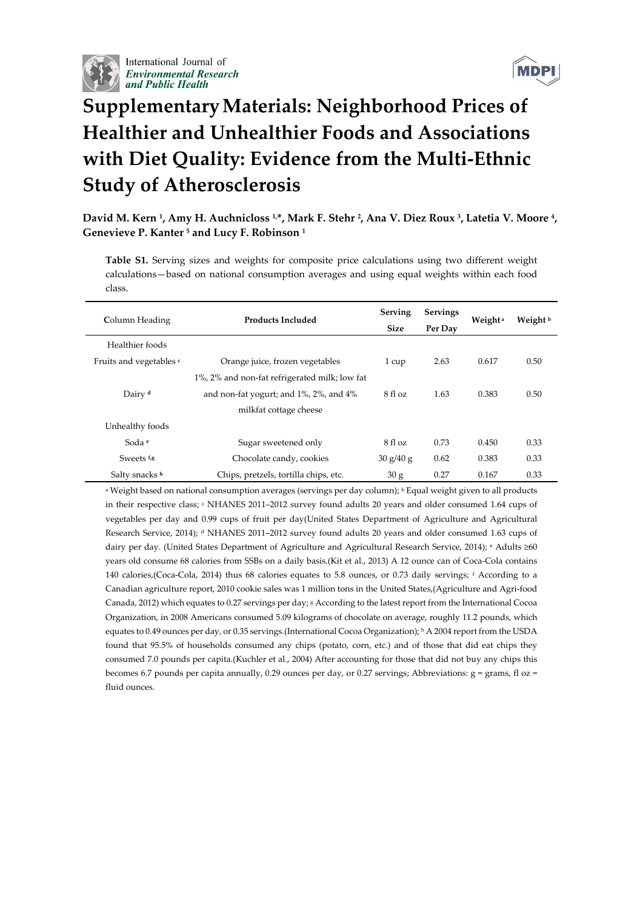

International Journal of **Environmental Research** and Public Health



## **SupplementaryMaterials: Neighborhood Prices of Healthier and Unhealthier Foods and Associations with Diet Quality: Evidence from the Multi‐Ethnic Study of Atherosclerosis**

David M. Kern <sup>1</sup>, Amy H. Auchnicloss <sup>1,\*</sup>, Mark F. Stehr <sup>2</sup>, Ana V. Diez Roux <sup>3</sup>, Latetia V. Moore <sup>4</sup>, **Genevieve P. Kanter <sup>5</sup> and Lucy F. Robinson <sup>1</sup>**

**Table S1.** Serving sizes and weights for composite price calculations using two different weight calculations—based on national consumption averages and using equal weights within each food class.

| Column Heading          | <b>Products Included</b>                      | <b>Serving</b><br><b>Size</b> | <b>Servings</b><br>Per Day | Weight <sup>a</sup> | Weight b |
|-------------------------|-----------------------------------------------|-------------------------------|----------------------------|---------------------|----------|
| Healthier foods         |                                               |                               |                            |                     |          |
| Fruits and vegetables c | Orange juice, frozen vegetables               | 1 cup                         | 2.63                       | 0.617               | 0.50     |
|                         | 1%, 2% and non-fat refrigerated milk; low fat |                               |                            |                     |          |
| Dairy <sup>d</sup>      | and non-fat yogurt; and 1%, 2%, and 4%        | 8 fl oz                       | 1.63                       | 0.383               | 0.50     |
|                         | milkfat cottage cheese                        |                               |                            |                     |          |
| Unhealthy foods         |                                               |                               |                            |                     |          |
| Soda e                  | Sugar sweetened only                          | 8 fl oz                       | 0.73                       | 0.450               | 0.33     |
| Sweets f <sub>/8</sub>  | Chocolate candy, cookies                      | 30 g/40 g                     | 0.62                       | 0.383               | 0.33     |
| Salty snacks h          | Chips, pretzels, tortilla chips, etc.         | 30 g                          | 0.27                       | 0.167               | 0.33     |

<sup>a</sup> Weight based on national consumption averages (servings per day column); <sup>b</sup> Equal weight given to all products in their respective class;  $\cdot$  NHANES 2011-2012 survey found adults 20 years and older consumed 1.64 cups of vegetables per day and 0.99 cups of fruit per day(United States Department of Agriculture and Agricultural Research Service, 2014); <sup>d</sup> NHANES 2011–2012 survey found adults 20 years and older consumed 1.63 cups of dairy per day. (United States Department of Agriculture and Agricultural Research Service, 2014); <sup>e</sup> Adults ≥60 years old consume 68 calories from SSBs on a daily basis.(Kit et al., 2013) A 12 ounce can of Coca-Cola contains 140 calories,(Coca‐Cola, 2014) thus 68 calories equates to 5.8 ounces, or 0.73 daily servings; <sup>f</sup> According to a Canadian agriculture report, 2010 cookie sales was 1 million tons in the United States,(Agriculture and Agri‐food Canada, 2012) which equates to 0.27 servings per day; <sup>g</sup> According to the latest report from the International Cocoa Organization, in 2008 Americans consumed 5.09 kilograms of chocolate on average, roughly 11.2 pounds, which equates to 0.49 ounces per day, or 0.35 servings.(International Cocoa Organization); <sup>h</sup> A 2004 report from the USDA found that 95.5% of households consumed any chips (potato, corn, etc.) and of those that did eat chips they consumed 7.0 pounds per capita.(Kuchler et al., 2004) After accounting for those that did not buy any chips this becomes 6.7 pounds per capita annually, 0.29 ounces per day, or 0.27 servings; Abbreviations:  $g =$  grams, fl oz = fluid ounces.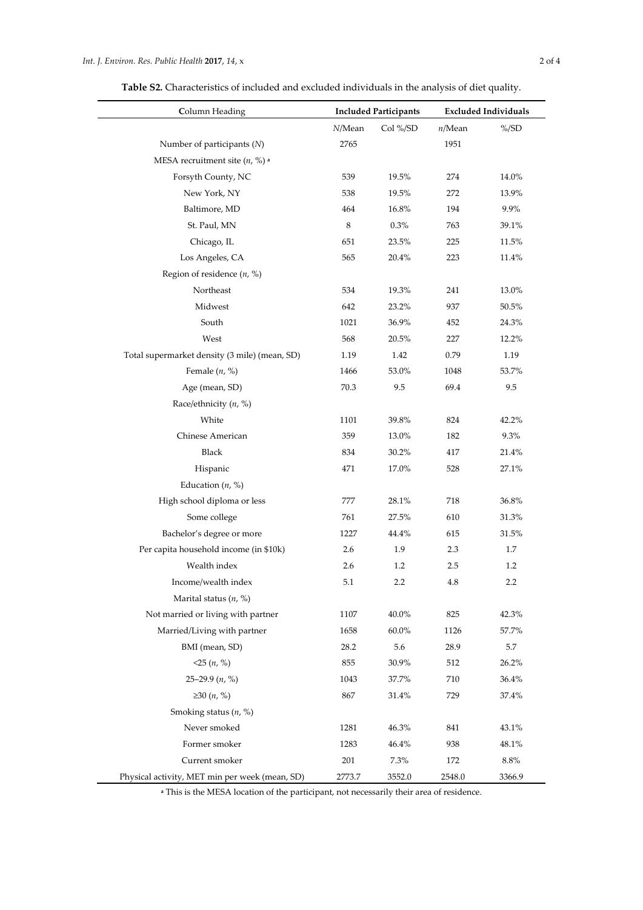**Table S2.** Characteristics of included and excluded individuals in the analysis of diet quality.

| Column Heading                                 |        | <b>Included Participants</b> | <b>Excluded Individuals</b> |          |  |
|------------------------------------------------|--------|------------------------------|-----------------------------|----------|--|
|                                                | N/Mean | Col %/SD                     | n/Mean                      | $\%$ /SD |  |
| Number of participants $(N)$                   | 2765   |                              | 1951                        |          |  |
| MESA recruitment site $(n, %)$ <sup>a</sup>    |        |                              |                             |          |  |
| Forsyth County, NC                             | 539    | 19.5%                        | 274                         | 14.0%    |  |
| New York, NY                                   | 538    | 19.5%                        | 272                         | 13.9%    |  |
| Baltimore, MD                                  | 464    | 16.8%                        | 194                         | 9.9%     |  |
| St. Paul, MN                                   | 8      | 0.3%                         | 763                         | 39.1%    |  |
| Chicago, IL                                    | 651    | 23.5%                        | 225                         | 11.5%    |  |
| Los Angeles, CA                                | 565    | 20.4%                        | 223                         | 11.4%    |  |
| Region of residence $(n, %)$                   |        |                              |                             |          |  |
| Northeast                                      | 534    | 19.3%                        | 241                         | 13.0%    |  |
| Midwest                                        | 642    | 23.2%                        | 937                         | 50.5%    |  |
| South                                          | 1021   | 36.9%                        | 452                         | 24.3%    |  |
| West                                           | 568    | 20.5%                        | 227                         | 12.2%    |  |
| Total supermarket density (3 mile) (mean, SD)  | 1.19   | 1.42                         | 0.79                        | 1.19     |  |
| Female $(n, %)$                                | 1466   | 53.0%                        | 1048                        | 53.7%    |  |
| Age (mean, SD)                                 | 70.3   | 9.5                          | 69.4                        | 9.5      |  |
| Race/ethnicity $(n, %)$                        |        |                              |                             |          |  |
| White                                          | 1101   | 39.8%                        | 824                         | 42.2%    |  |
| Chinese American                               | 359    | 13.0%                        | 182                         | 9.3%     |  |
| Black                                          | 834    | 30.2%                        | 417                         | 21.4%    |  |
| Hispanic                                       | 471    | 17.0%                        | 528                         | 27.1%    |  |
| Education $(n, %)$                             |        |                              |                             |          |  |
| High school diploma or less                    | 777    | 28.1%                        | 718                         | 36.8%    |  |
| Some college                                   | 761    | 27.5%                        | 610                         | 31.3%    |  |
| Bachelor's degree or more                      | 1227   | 44.4%                        | 615                         | 31.5%    |  |
| Per capita household income (in \$10k)         | 2.6    | 1.9                          | 2.3                         | 1.7      |  |
| Wealth index                                   | 2.6    | 1.2                          | 2.5                         | 1.2      |  |
| Income/wealth index                            | 5.1    | 2.2                          | 4.8                         | 2.2      |  |
| Marital status $(n, %)$                        |        |                              |                             |          |  |
| Not married or living with partner             | 1107   | 40.0%                        | 825                         | 42.3%    |  |
| Married/Living with partner                    | 1658   | 60.0%                        | 1126                        | 57.7%    |  |
| BMI (mean, SD)                                 | 28.2   | 5.6                          | 28.9                        | 5.7      |  |
| $<$ 25 $(n, %)$                                | 855    | 30.9%                        | 512                         | 26.2%    |  |
| 25-29.9 $(n, %)$                               | 1043   | 37.7%                        | 710                         | 36.4%    |  |
| ≥30 $(n, %)$                                   | 867    | 31.4%                        | 729                         | 37.4%    |  |
| Smoking status $(n, %)$                        |        |                              |                             |          |  |
| Never smoked                                   | 1281   | 46.3%                        | 841                         | 43.1%    |  |
| Former smoker                                  | 1283   | 46.4%                        | 938                         | 48.1%    |  |
| Current smoker                                 | 201    | 7.3%                         | 172                         | 8.8%     |  |
| Physical activity, MET min per week (mean, SD) | 2773.7 | 3552.0                       | 2548.0                      | 3366.9   |  |

**<sup>a</sup>** This is the MESA location of the participant, not necessarily their area of residence.